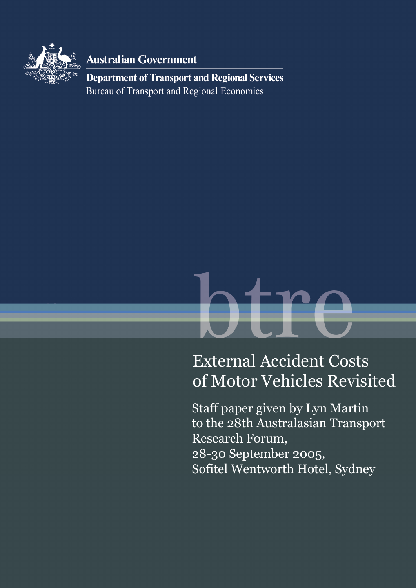

**Australian Government** 

**Department of Transport and Regional Services Bureau of Transport and Regional Economics** 

# External Accident Costs of Motor Vehicles Revisited

Staff paper given by Lyn Martin to the 28th Australasian Transport Research Forum, 28-30 September 2005, Sofitel Wentworth Hotel, Sydney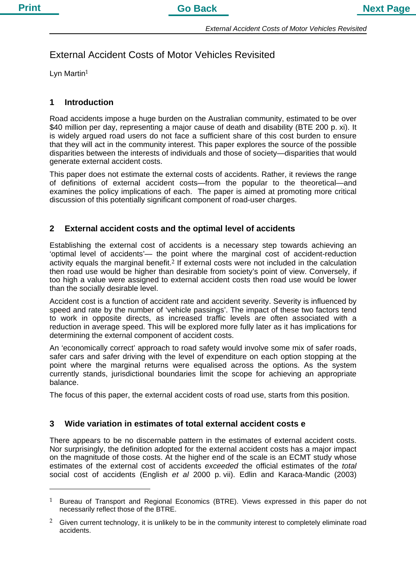# External Accident Costs of Motor Vehicles Revisited

Lyn Martin $1$ 

 $\overline{a}$ 

# **1 Introduction**

Road accidents impose a huge burden on the Australian community, estimated to be over \$40 million per day, representing a major cause of death and disability (BTE 200 p. xi). It is widely argued road users do not face a sufficient share of this cost burden to ensure that they will act in the community interest. This paper explores the source of the possible disparities between the interests of individuals and those of society—disparities that would generate external accident costs.

This paper does not estimate the external costs of accidents. Rather, it reviews the range of definitions of external accident costs—from the popular to the theoretical—and examines the policy implications of each. The paper is aimed at promoting more critical discussion of this potentially significant component of road-user charges.

# **2 External accident costs and the optimal level of accidents**

Establishing the external cost of accidents is a necessary step towards achieving an 'optimal level of accidents'— the point where the marginal cost of accident-reduction activity equals the marginal benefit.<sup>2</sup> If external costs were not included in the calculation then road use would be higher than desirable from society's point of view. Conversely, if too high a value were assigned to external accident costs then road use would be lower than the socially desirable level.

Accident cost is a function of accident rate and accident severity. Severity is influenced by speed and rate by the number of 'vehicle passings'. The impact of these two factors tend to work in opposite directs, as increased traffic levels are often associated with a reduction in average speed. This will be explored more fully later as it has implications for determining the external component of accident costs.

An 'economically correct' approach to road safety would involve some mix of safer roads, safer cars and safer driving with the level of expenditure on each option stopping at the point where the marginal returns were equalised across the options. As the system currently stands, jurisdictional boundaries limit the scope for achieving an appropriate balance.

The focus of this paper, the external accident costs of road use, starts from this position.

# **3 Wide variation in estimates of total external accident costs e**

There appears to be no discernable pattern in the estimates of external accident costs. Nor surprisingly, the definition adopted for the external accident costs has a major impact on the magnitude of those costs. At the higher end of the scale is an ECMT study whose estimates of the external cost of accidents *exceeded* the official estimates of the *total* social cost of accidents (English *et al* 2000 p. vii). Edlin and Karaca-Mandic (2003)

 $1$  Bureau of Transport and Regional Economics (BTRE). Views expressed in this paper do not necessarily reflect those of the BTRE.

Given current technology, it is unlikely to be in the community interest to completely eliminate road accidents.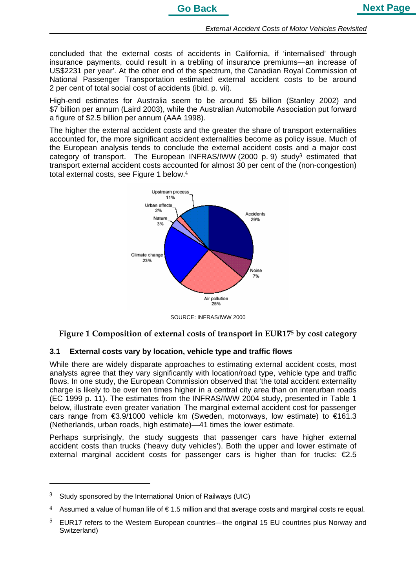concluded that the external costs of accidents in California, if 'internalised' through insurance payments, could result in a trebling of insurance premiums—an increase of US\$2231 per year'. At the other end of the spectrum, the Canadian Royal Commission of National Passenger Transportation estimated external accident costs to be around 2 per cent of total social cost of accidents (ibid. p. vii).

High-end estimates for Australia seem to be around \$5 billion (Stanley 2002) and \$7 billion per annum (Laird 2003), while the Australian Automobile Association put forward a figure of \$2.5 billion per annum (AAA 1998).

The higher the external accident costs and the greater the share of transport externalities accounted for, the more significant accident externalities become as policy issue. Much of the European analysis tends to conclude the external accident costs and a major cost category of transport. The European INFRAS/IWW (2000 p. 9) study<sup>3</sup> estimated that transport external accident costs accounted for almost 30 per cent of the (non-congestion) total external costs, see Figure 1 below.<sup>4</sup>



SOURCE: INFRAS/IWW 2000

# **Figure 1 Composition of external costs of transport in EUR175 by cost category**

# **3.1 External costs vary by location, vehicle type and traffic flows**

While there are widely disparate approaches to estimating external accident costs, most analysts agree that they vary significantly with location/road type, vehicle type and traffic flows. In one study, the European Commission observed that 'the total accident externality charge is likely to be over ten times higher in a central city area than on interurban roads (EC 1999 p. 11). The estimates from the INFRAS/IWW 2004 study, presented in Table 1 below, illustrate even greater variation The marginal external accident cost for passenger cars range from €3.9/1000 vehicle km (Sweden, motorways, low estimate) to €161.3 (Netherlands, urban roads, high estimate)—41 times the lower estimate.

Perhaps surprisingly, the study suggests that passenger cars have higher external accident costs than trucks ('heavy duty vehicles'). Both the upper and lower estimate of external marginal accident costs for passenger cars is higher than for trucks:  $\epsilon$ 2.5

 $3$  Study sponsored by the International Union of Railways (UIC)

<sup>4</sup> Assumed a value of human life of  $\in$  1.5 million and that average costs and marginal costs re equal.

<sup>&</sup>lt;sup>5</sup> EUR17 refers to the Western European countries—the original 15 EU countries plus Norway and Switzerland)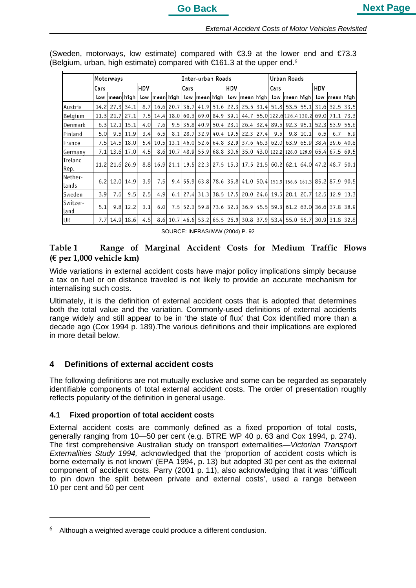|                  | Motorways |                |              |     |                                                                           |      |      | Inter-urban Roads   |  |           |                                                                    |  |                | Urban Roads |                                  |      |                |                     |  |
|------------------|-----------|----------------|--------------|-----|---------------------------------------------------------------------------|------|------|---------------------|--|-----------|--------------------------------------------------------------------|--|----------------|-------------|----------------------------------|------|----------------|---------------------|--|
|                  | Cars      |                |              | HDV |                                                                           |      | Cars |                     |  | HDV       |                                                                    |  | Cars           |             |                                  | HDV  |                |                     |  |
|                  |           | low mean high  |              |     | low  mean  high                                                           |      |      |                     |  |           | low  mean  high   low  mean  high                                  |  |                |             | low mean high                    |      |                | low  mean  high     |  |
| Austria          | 14.2      |                | $27.3$ 34.1  | 8.7 | 16.6                                                                      | 20.7 |      |                     |  |           | 36.7 41.9 51.6 22.3 25.5 31.4 51.8 53.5 55.1 31.6 32.5 33.5        |  |                |             |                                  |      |                |                     |  |
| Belgium          | 11.3      | 21.7           | 27.1         | 7.5 | 14.4                                                                      | 18.0 |      | 60.3 69.0 84.9 39.1 |  |           | 44.7                                                               |  |                |             | 55.0 122.6 126.4 130.2 69.0 71.1 |      |                | 73.3                |  |
| Denmark          | 6.3       |                | $12.1$ 15.1  | 4.0 | 7.61                                                                      | 9.5  | 35.8 | 40.9                |  | 50.4 23.1 |                                                                    |  | 26.4 32.4 89.5 | 92.3        | 95.1                             | 52.3 | 53.9           | 55.6                |  |
| Finland          | 5.0       |                | $9.5$   11.9 | 3.4 | 6.5                                                                       | 8.1  |      |                     |  |           | 28.7 32.9 40.4 19.5 22.3 27.4                                      |  | 9.5            | 9.8         | 10.1                             | 6.5  | 6.7            | 6.9                 |  |
| France           | 7.5       |                | 14.5   18.0  | 5.4 | 10.5                                                                      | 13.1 |      |                     |  |           | 46.0 52.6 64.8 32.9 37.6 46.3 62.0                                 |  |                | 63.9        |                                  |      | 65.9 38.4 39.6 | 40.8                |  |
| Germany          | 7.1       |                | 13.6   17.0  | 4.5 | 8.6                                                                       |      |      |                     |  |           | 10.7 48.9 55.9 68.8 30.6 35.0 43.0 122.2 126.0 129.9 65.4          |  |                |             |                                  |      |                | 67.5 69.5           |  |
| Ireland<br>Rep.  |           | 11.2 21.6 26.9 |              |     | 8.8 16.9 21.1 19.5 22.3 27.5 15.3 17.5 21.5 60.2 62.1 64.0 47.2 48.7 50.1 |      |      |                     |  |           |                                                                    |  |                |             |                                  |      |                |                     |  |
| Nether-<br>lands |           | 6.2 12.0 14.9  |              | 3.9 | 7.5                                                                       |      |      |                     |  |           | 9.4 55.9 63.8 78.6 35.8 41.0 50.4 151.9 156.6 161.3 85.2 87.9 90.5 |  |                |             |                                  |      |                |                     |  |
| Sweden           | 3.9       | 7.6            | 9.5          | 2.5 | 4.9                                                                       | 6.1  | 27.4 |                     |  |           | 31.3 38.5 17.5 20.0 24.6 19.5                                      |  |                | 20.1        |                                  |      |                | 20.7 12.5 12.9 13.3 |  |
| Switzer-<br>land | 5.1       |                | $9.8$   12.2 | 3.1 | 6.0                                                                       |      |      |                     |  |           | 7.5 52.3 59.8 73.6 32.3 36.9 45.5 59.3                             |  |                |             | 61.2 63.0 36.6 37.8 38.9         |      |                |                     |  |
| UK               | 7.71      |                | 14.9 18.6    | 4.5 | 8.6                                                                       |      |      |                     |  |           | 10.7 46.6 53.2 65.5 26.9 30.8 37.9 53.4 55.0 56.7 30.9 31.8 32.8   |  |                |             |                                  |      |                |                     |  |

(Sweden, motorways, low estimate) compared with  $\epsilon$ 3.9 at the lower end and  $\epsilon$ 73.3 (Belgium, urban, high estimate) compared with  $\epsilon$ 161.3 at the upper end.<sup>6</sup>

SOURCE: INFRAS/IWW (2004) P. 92

# **Table 1 Range of Marginal Accident Costs for Medium Traffic Flows (€ per 1,000 vehicle km)**

Wide variations in external accident costs have major policy implications simply because a tax on fuel or on distance traveled is not likely to provide an accurate mechanism for internalising such costs.

Ultimately, it is the definition of external accident costs that is adopted that determines both the total value and the variation. Commonly-used definitions of external accidents range widely and still appear to be in 'the state of flux' that Cox identified more than a decade ago (Cox 1994 p. 189).The various definitions and their implications are explored in more detail below.

# **4 Definitions of external accident costs**

The following definitions are not mutually exclusive and some can be regarded as separately identifiable components of total external accident costs. The order of presentation roughly reflects popularity of the definition in general usage.

### **4.1 Fixed proportion of total accident costs**

External accident costs are commonly defined as a fixed proportion of total costs, generally ranging from 10—50 per cent (e.g. BTRE WP 40 p. 63 and Cox 1994, p. 274). The first comprehensive Australian study on transport externalities—*Victorian Transport Externalities Study 1994,* acknowledged that the 'proportion of accident costs which is borne externally is not known' (EPA 1994, p. 13) but adopted 30 per cent as the external component of accident costs. Parry (2001 p. 11), also acknowledging that it was 'difficult to pin down the split between private and external costs', used a range between 10 per cent and 50 per cent

Although a weighted average could produce a different conclusion.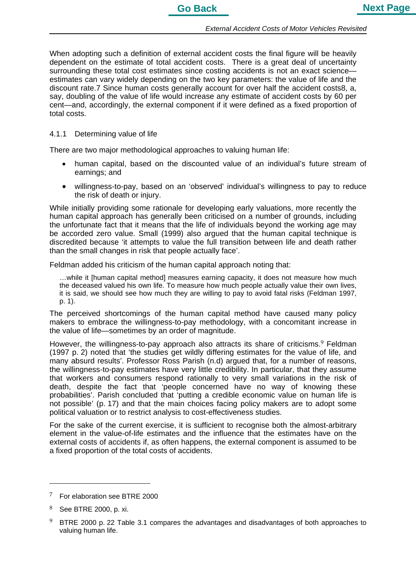When adopting such a definition of external accident costs the final figure will be heavily dependent on the estimate of total accident costs. There is a great deal of uncertainty surrounding these total cost estimates since costing accidents is not an exact scienceestimates can vary widely depending on the two key parameters: the value of life and the discount rate.7 Since human costs generally account for over half the accident costs8, a, say, doubling of the value of life would increase any estimate of accident costs by 60 per cent—and, accordingly, the external component if it were defined as a fixed proportion of total costs.

#### 4.1.1 Determining value of life

There are two major methodological approaches to valuing human life:

- human capital, based on the discounted value of an individual's future stream of earnings; and
- willingness-to-pay, based on an 'observed' individual's willingness to pay to reduce the risk of death or injury.

While initially providing some rationale for developing early valuations, more recently the human capital approach has generally been criticised on a number of grounds, including the unfortunate fact that it means that the life of individuals beyond the working age may be accorded zero value. Small (1999) also argued that the human capital technique is discredited because 'it attempts to value the full transition between life and death rather than the small changes in risk that people actually face'.

Feldman added his criticism of the human capital approach noting that:

…while it [human capital method] measures earning capacity, it does not measure how much the deceased valued his own life. To measure how much people actually value their own lives, it is said, we should see how much they are willing to pay to avoid fatal risks (Feldman 1997, p. 1).

The perceived shortcomings of the human capital method have caused many policy makers to embrace the willingness-to-pay methodology, with a concomitant increase in the value of life—sometimes by an order of magnitude.

However, the willingness-to-pay approach also attracts its share of criticisms.<sup>9</sup> Feldman (1997 p. 2) noted that 'the studies get wildly differing estimates for the value of life, and many absurd results'. Professor Ross Parish (n.d) argued that, for a number of reasons, the willingness-to-pay estimates have very little credibility. In particular, that they assume that workers and consumers respond rationally to very small variations in the risk of death, despite the fact that 'people concerned have no way of knowing these probabilities'. Parish concluded that 'putting a credible economic value on human life is not possible' (p. 17) and that the main choices facing policy makers are to adopt some political valuation or to restrict analysis to cost-effectiveness studies.

For the sake of the current exercise, it is sufficient to recognise both the almost-arbitrary element in the value-of-life estimates and the influence that the estimates have on the external costs of accidents if, as often happens, the external component is assumed to be a fixed proportion of the total costs of accidents.

<sup>7</sup> For elaboration see BTRE 2000

<sup>8</sup> See BTRE 2000, p. xi.

<sup>9</sup> BTRE 2000 p. 22 Table 3.1 compares the advantages and disadvantages of both approaches to valuing human life.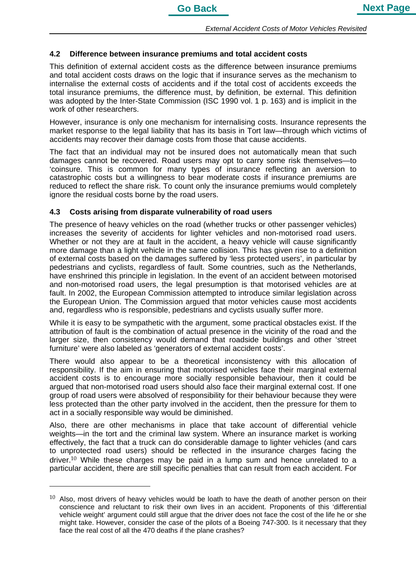# **4.2 Difference between insurance premiums and total accident costs**

This definition of external accident costs as the difference between insurance premiums and total accident costs draws on the logic that if insurance serves as the mechanism to internalise the external costs of accidents and if the total cost of accidents exceeds the total insurance premiums, the difference must, by definition, be external. This definition was adopted by the Inter-State Commission (ISC 1990 vol. 1 p. 163) and is implicit in the work of other researchers.

However, insurance is only one mechanism for internalising costs. Insurance represents the market response to the legal liability that has its basis in Tort law—through which victims of accidents may recover their damage costs from those that cause accidents.

The fact that an individual may not be insured does not automatically mean that such damages cannot be recovered. Road users may opt to carry some risk themselves—to 'coinsure. This is common for many types of insurance reflecting an aversion to catastrophic costs but a willingness to bear moderate costs if insurance premiums are reduced to reflect the share risk. To count only the insurance premiums would completely ignore the residual costs borne by the road users.

# **4.3 Costs arising from disparate vulnerability of road users**

The presence of heavy vehicles on the road (whether trucks or other passenger vehicles) increases the severity of accidents for lighter vehicles and non-motorised road users. Whether or not they are at fault in the accident, a heavy vehicle will cause significantly more damage than a light vehicle in the same collision. This has given rise to a definition of external costs based on the damages suffered by 'less protected users', in particular by pedestrians and cyclists, regardless of fault. Some countries, such as the Netherlands, have enshrined this principle in legislation. In the event of an accident between motorised and non-motorised road users, the legal presumption is that motorised vehicles are at fault. In 2002, the European Commission attempted to introduce similar legislation across the European Union. The Commission argued that motor vehicles cause most accidents and, regardless who is responsible, pedestrians and cyclists usually suffer more.

While it is easy to be sympathetic with the argument, some practical obstacles exist. If the attribution of fault is the combination of actual presence in the vicinity of the road and the larger size, then consistency would demand that roadside buildings and other 'street furniture' were also labeled as 'generators of external accident costs'.

There would also appear to be a theoretical inconsistency with this allocation of responsibility. If the aim in ensuring that motorised vehicles face their marginal external accident costs is to encourage more socially responsible behaviour, then it could be argued that non-motorised road users should also face their marginal external cost. If one group of road users were absolved of responsibility for their behaviour because they were less protected than the other party involved in the accident, then the pressure for them to act in a socially responsible way would be diminished.

Also, there are other mechanisms in place that take account of differential vehicle weights—in the tort and the criminal law system. Where an insurance market is working effectively, the fact that a truck can do considerable damage to lighter vehicles (and cars to unprotected road users) should be reflected in the insurance charges facing the driver.<sup>10</sup> While these charges may be paid in a lump sum and hence unrelated to a particular accident, there are still specific penalties that can result from each accident. For

 $\overline{a}$ 

 $10$  Also, most drivers of heavy vehicles would be loath to have the death of another person on their conscience and reluctant to risk their own lives in an accident. Proponents of this 'differential vehicle weight' argument could still argue that the driver does not face the cost of the life he or she might take. However, consider the case of the pilots of a Boeing 747-300. Is it necessary that they face the real cost of all the 470 deaths if the plane crashes?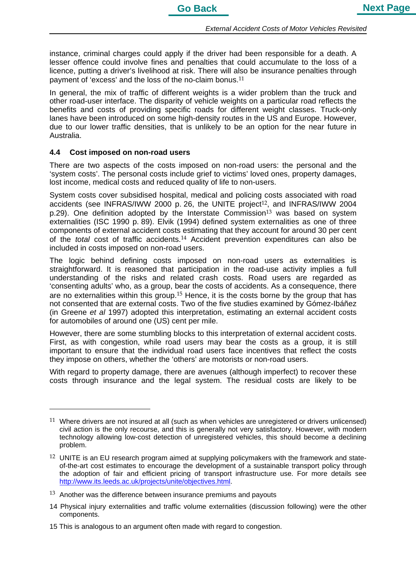instance, criminal charges could apply if the driver had been responsible for a death. A lesser offence could involve fines and penalties that could accumulate to the loss of a licence, putting a driver's livelihood at risk. There will also be insurance penalties through payment of 'excess' and the loss of the no-claim bonus.11

In general, the mix of traffic of different weights is a wider problem than the truck and other road-user interface. The disparity of vehicle weights on a particular road reflects the benefits and costs of providing specific roads for different weight classes. Truck-only lanes have been introduced on some high-density routes in the US and Europe. However, due to our lower traffic densities, that is unlikely to be an option for the near future in Australia.

#### **4.4 Cost imposed on non-road users**

 $\overline{a}$ 

There are two aspects of the costs imposed on non-road users: the personal and the 'system costs'. The personal costs include grief to victims' loved ones, property damages, lost income, medical costs and reduced quality of life to non-users.

System costs cover subsidised hospital, medical and policing costs associated with road accidents (see INFRAS/IWW 2000 p. 26, the UNITE project<sup>12</sup>, and INFRAS/IWW 2004 p.29). One definition adopted by the Interstate Commission<sup>13</sup> was based on system externalities (ISC 1990 p. 89). Elvik (1994) defined system externalities as one of three components of external accident costs estimating that they account for around 30 per cent of the *total* cost of traffic accidents.14 Accident prevention expenditures can also be included in costs imposed on non-road users.

The logic behind defining costs imposed on non-road users as externalities is straightforward. It is reasoned that participation in the road-use activity implies a full understanding of the risks and related crash costs. Road users are regarded as 'consenting adults' who, as a group, bear the costs of accidents. As a consequence, there are no externalities within this group.<sup>15</sup> Hence, it is the costs borne by the group that has not consented that are external costs. Two of the five studies examined by Gómez-Ibáñez (in Greene *et al* 1997) adopted this interpretation, estimating an external accident costs for automobiles of around one (US) cent per mile.

However, there are some stumbling blocks to this interpretation of external accident costs. First, as with congestion, while road users may bear the costs as a group, it is still important to ensure that the individual road users face incentives that reflect the costs they impose on others, whether the 'others' are motorists or non-road users.

With regard to property damage, there are avenues (although imperfect) to recover these costs through insurance and the legal system. The residual costs are likely to be

 $11$  Where drivers are not insured at all (such as when vehicles are unregistered or drivers unlicensed) civil action is the only recourse, and this is generally not very satisfactory. However, with modern technology allowing low-cost detection of unregistered vehicles, this should become a declining problem.

<sup>&</sup>lt;sup>12</sup> UNITE is an EU research program aimed at supplying policymakers with the framework and stateof-the-art cost estimates to encourage the development of a sustainable transport policy through the adoption of fair and efficient pricing of transport infrastructure use. For more details see http://www.its.leeds.ac.uk/projects/unite/objectives.html.

 $13$  Another was the difference between insurance premiums and payouts

<sup>14</sup> Physical injury externalities and traffic volume externalities (discussion following) were the other components.

<sup>15</sup> This is analogous to an argument often made with regard to congestion.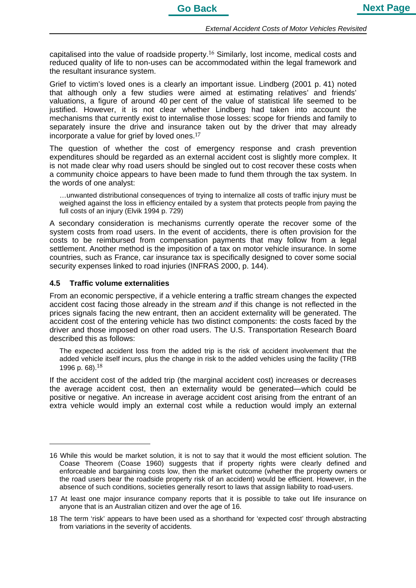capitalised into the value of roadside property.16 Similarly, lost income, medical costs and reduced quality of life to non-uses can be accommodated within the legal framework and the resultant insurance system.

Grief to victim's loved ones is a clearly an important issue. Lindberg (2001 p. 41) noted that although only a few studies were aimed at estimating relatives' and friends' valuations, a figure of around 40 per cent of the value of statistical life seemed to be justified. However, it is not clear whether Lindberg had taken into account the mechanisms that currently exist to internalise those losses: scope for friends and family to separately insure the drive and insurance taken out by the driver that may already incorporate a value for grief by loved ones.17

The question of whether the cost of emergency response and crash prevention expenditures should be regarded as an external accident cost is slightly more complex. It is not made clear why road users should be singled out to cost recover these costs when a community choice appears to have been made to fund them through the tax system. In the words of one analyst:

…unwanted distributional consequences of trying to internalize all costs of traffic injury must be weighed against the loss in efficiency entailed by a system that protects people from paying the full costs of an injury (Elvik 1994 p. 729)

A secondary consideration is mechanisms currently operate the recover some of the system costs from road users. In the event of accidents, there is often provision for the costs to be reimbursed from compensation payments that may follow from a legal settlement. Another method is the imposition of a tax on motor vehicle insurance. In some countries, such as France, car insurance tax is specifically designed to cover some social security expenses linked to road injuries (INFRAS 2000, p. 144).

# **4.5 Traffic volume externalities**

From an economic perspective, if a vehicle entering a traffic stream changes the expected accident cost facing those already in the stream *and* if this change is not reflected in the prices signals facing the new entrant, then an accident externality will be generated. The accident cost of the entering vehicle has two distinct components: the costs faced by the driver and those imposed on other road users. The U.S. Transportation Research Board described this as follows:

The expected accident loss from the added trip is the risk of accident involvement that the added vehicle itself incurs, plus the change in risk to the added vehicles using the facility (TRB 1996 p. 68).18

If the accident cost of the added trip (the marginal accident cost) increases or decreases the average accident cost, then an externality would be generated—which could be positive or negative. An increase in average accident cost arising from the entrant of an extra vehicle would imply an external cost while a reduction would imply an external

<sup>16</sup> While this would be market solution, it is not to say that it would the most efficient solution. The Coase Theorem (Coase 1960) suggests that if property rights were clearly defined and enforceable and bargaining costs low, then the market outcome (whether the property owners or the road users bear the roadside property risk of an accident) would be efficient. However, in the absence of such conditions, societies generally resort to laws that assign liability to road-users.

<sup>17</sup> At least one major insurance company reports that it is possible to take out life insurance on anyone that is an Australian citizen and over the age of 16.

<sup>18</sup> The term 'risk' appears to have been used as a shorthand for 'expected cost' through abstracting from variations in the severity of accidents.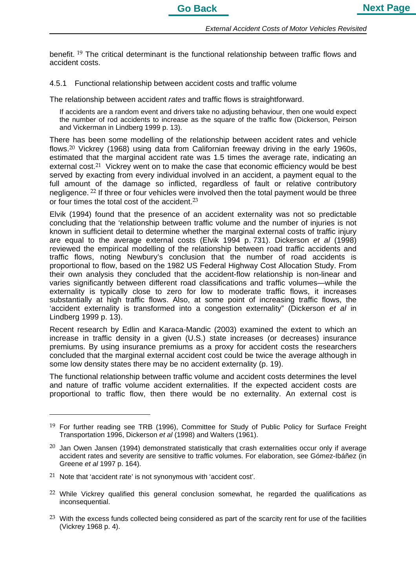benefit. <sup>19</sup> The critical determinant is the functional relationship between traffic flows and accident costs.

4.5.1 Functional relationship between accident costs and traffic volume

The relationship between accident *rates* and traffic flows is straightforward.

If accidents are a random event and drivers take no adjusting behaviour, then one would expect the number of rod accidents to increase as the square of the traffic flow (Dickerson, Peirson and Vickerman in Lindberg 1999 p. 13).

There has been some modelling of the relationship between accident rates and vehicle flows.20 Vickrey (1968) using data from Californian freeway driving in the early 1960s, estimated that the marginal accident rate was 1.5 times the average rate, indicating an external cost.<sup>21</sup> Vickrey went on to make the case that economic efficiency would be best served by exacting from every individual involved in an accident, a payment equal to the full amount of the damage so inflicted, regardless of fault or relative contributory negligence. 22 If three or four vehicles were involved then the total payment would be three or four times the total cost of the accident.23

Elvik (1994) found that the presence of an accident externality was not so predictable concluding that the 'relationship between traffic volume and the number of injuries is not known in sufficient detail to determine whether the marginal external costs of traffic injury are equal to the average external costs (Elvik 1994 p. 731). Dickerson *et al* (1998) reviewed the empirical modelling of the relationship between road traffic accidents and traffic flows, noting Newbury's conclusion that the number of road accidents is proportional to flow, based on the 1982 US Federal Highway Cost Allocation Study. From their own analysis they concluded that the accident-flow relationship is non-linear and varies significantly between different road classifications and traffic volumes—while the externality is typically close to zero for low to moderate traffic flows, it increases substantially at high traffic flows. Also, at some point of increasing traffic flows, the 'accident externality is transformed into a congestion externality" (Dickerson *et al* in Lindberg 1999 p. 13).

Recent research by Edlin and Karaca-Mandic (2003) examined the extent to which an increase in traffic density in a given (U.S.) state increases (or decreases) insurance premiums. By using insurance premiums as a proxy for accident costs the researchers concluded that the marginal external accident cost could be twice the average although in some low density states there may be no accident externality (p. 19).

The functional relationship between traffic volume and accident costs determines the level and nature of traffic volume accident externalities. If the expected accident costs are proportional to traffic flow, then there would be no externality. An external cost is

<sup>&</sup>lt;sup>19</sup> For further reading see TRB (1996), Committee for Study of Public Policy for Surface Freight Transportation 1996, Dickerson *et al* (1998) and Walters (1961).

<sup>&</sup>lt;sup>20</sup> Jan Owen Jansen (1994) demonstrated statistically that crash externalities occur only if average accident rates and severity are sensitive to traffic volumes. For elaboration, see Gómez-Ibáñez (in Greene *et al* 1997 p. 164).

 $21$  Note that 'accident rate' is not synonymous with 'accident cost'.

 $22$  While Vickrey qualified this general conclusion somewhat, he regarded the qualifications as inconsequential.

<sup>&</sup>lt;sup>23</sup> With the excess funds collected being considered as part of the scarcity rent for use of the facilities (Vickrey 1968 p. 4).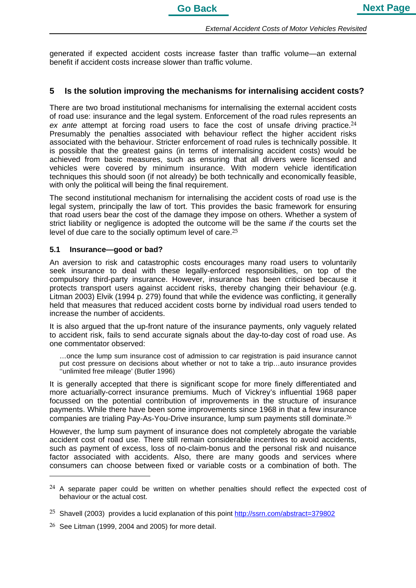generated if expected accident costs increase faster than traffic volume—an external benefit if accident costs increase slower than traffic volume.

## **5 Is the solution improving the mechanisms for internalising accident costs?**

There are two broad institutional mechanisms for internalising the external accident costs of road use: insurance and the legal system. Enforcement of the road rules represents an ex ante attempt at forcing road users to face the cost of unsafe driving practice.<sup>24</sup> Presumably the penalties associated with behaviour reflect the higher accident risks associated with the behaviour. Stricter enforcement of road rules is technically possible. It is possible that the greatest gains (in terms of internalising accident costs) would be achieved from basic measures, such as ensuring that all drivers were licensed and vehicles were covered by minimum insurance. With modern vehicle identification techniques this should soon (if not already) be both technically and economically feasible, with only the political will being the final requirement.

The second institutional mechanism for internalising the accident costs of road use is the legal system, principally the law of tort. This provides the basic framework for ensuring that road users bear the cost of the damage they impose on others. Whether a system of strict liability or negligence is adopted the outcome will be the same *if* the courts set the level of due care to the socially optimum level of care.25

#### **5.1 Insurance—good or bad?**

An aversion to risk and catastrophic costs encourages many road users to voluntarily seek insurance to deal with these legally-enforced responsibilities, on top of the compulsory third-party insurance. However, insurance has been criticised because it protects transport users against accident risks, thereby changing their behaviour (e.g. Litman 2003) Elvik (1994 p. 279) found that while the evidence was conflicting, it generally held that measures that reduced accident costs borne by individual road users tended to increase the number of accidents.

It is also argued that the up-front nature of the insurance payments, only vaguely related to accident risk, fails to send accurate signals about the day-to-day cost of road use. As one commentator observed:

…once the lump sum insurance cost of admission to car registration is paid insurance cannot put cost pressure on decisions about whether or not to take a trip…auto insurance provides ''unlimited free mileage' (Butler 1996)

It is generally accepted that there is significant scope for more finely differentiated and more actuarially-correct insurance premiums. Much of Vickrey's influential 1968 paper focussed on the potential contribution of improvements in the structure of insurance payments. While there have been some improvements since 1968 in that a few insurance companies are trialing Pay-As-You-Drive insurance, lump sum payments still dominate.26

However, the lump sum payment of insurance does not completely abrogate the variable accident cost of road use. There still remain considerable incentives to avoid accidents, such as payment of excess, loss of no-claim-bonus and the personal risk and nuisance factor associated with accidents. Also, there are many goods and services where consumers can choose between fixed or variable costs or a combination of both. The

 $24$  A separate paper could be written on whether penalties should reflect the expected cost of behaviour or the actual cost.

<sup>&</sup>lt;sup>25</sup> Shavell (2003) provides a lucid explanation of this point http://ssrn.com/abstract=379802

 $26$  See Litman (1999, 2004 and 2005) for more detail.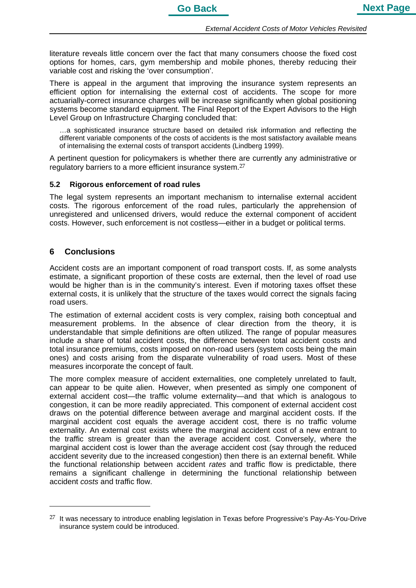literature reveals little concern over the fact that many consumers choose the fixed cost options for homes, cars, gym membership and mobile phones, thereby reducing their variable cost and risking the 'over consumption'.

There is appeal in the argument that improving the insurance system represents an efficient option for internalising the external cost of accidents. The scope for more actuarially-correct insurance charges will be increase significantly when global positioning systems become standard equipment. The Final Report of the Expert Advisors to the High Level Group on Infrastructure Charging concluded that:

…a sophisticated insurance structure based on detailed risk information and reflecting the different variable components of the costs of accidents is the most satisfactory available means of internalising the external costs of transport accidents (Lindberg 1999).

A pertinent question for policymakers is whether there are currently any administrative or regulatory barriers to a more efficient insurance system.<sup>27</sup>

#### **5.2 Rigorous enforcement of road rules**

The legal system represents an important mechanism to internalise external accident costs. The rigorous enforcement of the road rules, particularly the apprehension of unregistered and unlicensed drivers, would reduce the external component of accident costs. However, such enforcement is not costless—either in a budget or political terms.

#### **6 Conclusions**

Accident costs are an important component of road transport costs. If, as some analysts estimate, a significant proportion of these costs are external, then the level of road use would be higher than is in the community's interest. Even if motoring taxes offset these external costs, it is unlikely that the structure of the taxes would correct the signals facing road users.

The estimation of external accident costs is very complex, raising both conceptual and measurement problems. In the absence of clear direction from the theory, it is understandable that simple definitions are often utilized. The range of popular measures include a share of total accident costs, the difference between total accident costs and total insurance premiums, costs imposed on non-road users (system costs being the main ones) and costs arising from the disparate vulnerability of road users. Most of these measures incorporate the concept of fault.

The more complex measure of accident externalities, one completely unrelated to fault, can appear to be quite alien. However, when presented as simply one component of external accident cost—the traffic volume externality—and that which is analogous to congestion, it can be more readily appreciated. This component of external accident cost draws on the potential difference between average and marginal accident costs. If the marginal accident cost equals the average accident cost, there is no traffic volume externality. An external cost exists where the marginal accident cost of a new entrant to the traffic stream is greater than the average accident cost. Conversely, where the marginal accident cost is lower than the average accident cost (say through the reduced accident severity due to the increased congestion) then there is an external benefit. While the functional relationship between accident *rates* and traffic flow is predictable, there remains a significant challenge in determining the functional relationship between accident *costs* and traffic flow.

 $27$  It was necessary to introduce enabling legislation in Texas before Progressive's Pay-As-You-Drive insurance system could be introduced.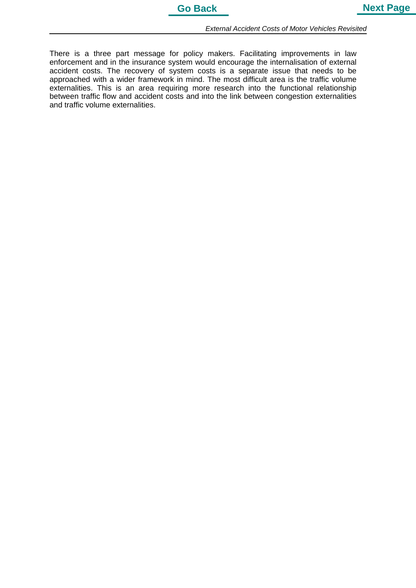There is a three part message for policy makers. Facilitating improvements in law enforcement and in the insurance system would encourage the internalisation of external accident costs. The recovery of system costs is a separate issue that needs to be approached with a wider framework in mind. The most difficult area is the traffic volume externalities. This is an area requiring more research into the functional relationship between traffic flow and accident costs and into the link between congestion externalities and traffic volume externalities.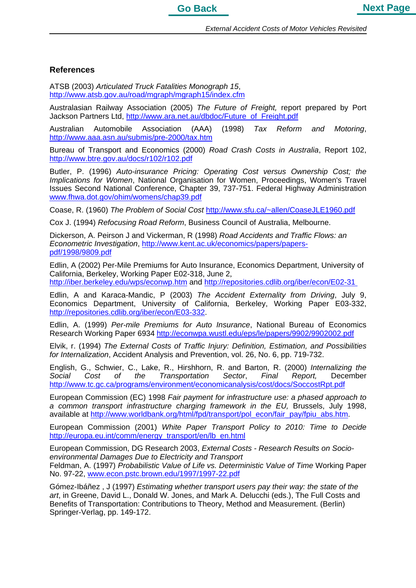

### **References**

ATSB (2003) *Articulated Truck Fatalities Monograph 15*, http://www.atsb.gov.au/road/mgraph/mgraph15/index.cfm

Australasian Railway Association (2005) *The Future of Freight,* report prepared by Port Jackson Partners Ltd, http://www.ara.net.au/dbdoc/Future\_of\_Freight.pdf

Australian Automobile Association (AAA) (1998) *Tax Reform and Motoring*, http://www.aaa.asn.au/submis/pre-2000/tax.htm

Bureau of Transport and Economics (2000) *Road Crash Costs in Australia*, Report 102, http://www.btre.gov.au/docs/r102/r102.pdf

Butler, P. (1996) *Auto-insurance Pricing: Operating Cost versus Ownership Cost; the Implications for Women*, National Organisation for Women, Proceedings, Women's Travel Issues Second National Conference, Chapter 39, 737-751. Federal Highway Administration www.fhwa.dot.gov/ohim/womens/chap39.pdf

Coase, R. (1960) *The Problem of Social Cost* http://www.sfu.ca/~allen/CoaseJLE1960.pdf

Cox J. (1994) *Refocusing Road Reform*, Business Council of Australia, Melbourne.

Dickerson, A. Peirson J and Vickerman, R (1998) *Road Accidents and Traffic Flows: an Econometric Investigation*, http://www.kent.ac.uk/economics/papers/paperspdf/1998/9809.pdf

Edlin, A (2002) Per-Mile Premiums for Auto Insurance, Economics Department, University of California, Berkeley, Working Paper E02-318, June 2, http://iber.berkeley.edu/wps/econwp.htm and http://repositories.cdlib.org/iber/econ/E02-31

Edlin, A and Karaca-Mandic, P (2003) *The Accident Externality from Driving*, July 9, Economics Department, University of California, Berkeley, Working Paper E03-332, http://repositories.cdlib.org/iber/econ/E03-332.

Edlin, A. (1999) *Per-mile Premiums for Auto Insurance*, National Bureau of Economics Research Working Paper 6934 http://econwpa.wustl.edu/eps/le/papers/9902/9902002.pdf

Elvik, r. (1994) *The External Costs of Traffic Injury: Definition, Estimation, and Possibilities for Internalization*, Accident Analysis and Prevention, vol. 26, No. 6, pp. 719-732.

English, G., Schwier, C., Lake, R., Hirshhorn, R. and Barton, R. (2000) *Internalizing the Social Cost of the Transportation Sector*, *Final Report,* December http://www.tc.gc.ca/programs/environment/economicanalysis/cost/docs/SoccostRpt.pdf

European Commission (EC) 1998 *Fair payment for infrastructure use: a phased approach to a common transport infrastructure charging framework in the EU,* Brussels, July 1998, available at http://www.worldbank.org/html/fpd/transport/pol\_econ/fair\_pay/fpiu\_abs.htm.

European Commission (2001) *White Paper Transport Policy to 2010: Time to Decide* http://europa.eu.int/comm/energy\_transport/en/lb\_en.html

European Commission, DG Research 2003, *External Costs - Research Results on Socioenvironmental Damages Due to Electricity and Transport* Feldman, A. (1997) *Probabilistic Value of Life vs. Deterministic Value of Time* Working Paper No. 97-22, www.econ.pstc.brown.edu/1997/1997-22.pdf

Gómez-Ibáñez , J (1997) *Estimating whether transport users pay their way: the state of the art*, in Greene, David L., Donald W. Jones, and Mark A. Delucchi (eds.), The Full Costs and Benefits of Transportation: Contributions to Theory, Method and Measurement. (Berlin) Springer-Verlag, pp. 149-172.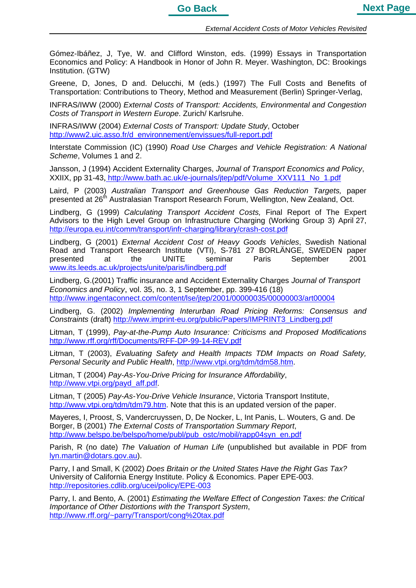Gómez-Ibáñez, J, Tye, W. and Clifford Winston, eds. (1999) Essays in Transportation Economics and Policy: A Handbook in Honor of John R. Meyer. Washington, DC: Brookings Institution. (GTW)

Greene, D, Jones, D and. Delucchi, M (eds.) (1997) The Full Costs and Benefits of Transportation: Contributions to Theory, Method and Measurement (Berlin) Springer-Verlag,

INFRAS/IWW (2000) *External Costs of Transport: Accidents, Environmental and Congestion Costs of Transport in Western Europe*. Zurich/ Karlsruhe.

INFRAS/IWW (2004) *External Costs of Transport: Update Study*, October http://www2.uic.asso.fr/d\_environnement/envissues/full-report.pdf

Interstate Commission (IC) (1990) *Road Use Charges and Vehicle Registration: A National Scheme*, Volumes 1 and 2.

Jansson, J (1994) Accident Externality Charges, *Journal of Transport Economics and Policy*, XXIIX, pp 31-43, http://www.bath.ac.uk/e-journals/jtep/pdf/Volume\_XXV111\_No\_1.pdf

Laird, P (2003) *Australian Transport and Greenhouse Gas Reduction Targets,* paper presented at 26<sup>th</sup> Australasian Transport Research Forum, Wellington, New Zealand, Oct.

Lindberg, G (1999) *Calculating Transport Accident Costs,* Final Report of The Expert Advisors to the High Level Group on Infrastructure Charging (Working Group 3) April 27, http://europa.eu.int/comm/transport/infr-charging/library/crash-cost.pdf

Lindberg, G (2001) *External Accident Cost of Heavy Goods Vehicles*, Swedish National Road and Transport Research Institute (VTI), S-781 27 BORLÄNGE, SWEDEN paper presented at the UNITE seminar Paris September 2001 www.its.leeds.ac.uk/projects/unite/paris/lindberg.pdf

Lindberg, G.(2001) Traffic insurance and Accident Externality Charges *Journal of Transport Economics and Policy*, vol. 35, no. 3, 1 September, pp. 399-416 (18) http://www.ingentaconnect.com/content/lse/jtep/2001/00000035/00000003/art00004

Lindberg, G. (2002) *Implementing Interurban Road Pricing Reforms: Consensus and Constraints* (draft) http://www.imprint-eu.org/public/Papers/IMPRINT3\_Lindberg.pdf

Litman, T (1999), *Pay-at-the-Pump Auto Insurance: Criticisms and Proposed Modifications*  http://www.rff.org/rff/Documents/RFF-DP-99-14-REV.pdf

Litman, T (2003), *Evaluating Safety and Health Impacts TDM Impacts on Road Safety, Personal Security and Public Health*, http://www.vtpi.org/tdm/tdm58.htm.

Litman, T (2004) *Pay-As-You-Drive Pricing for Insurance Affordability*, http://www.vtpi.org/payd\_aff.pdf.

Litman, T (2005) *Pay-As-You-Drive Vehicle Insurance*, Victoria Transport Institute, http://www.vtpi.org/tdm/tdm79.htm. Note that this is an updated version of the paper.

Mayeres, I, Proost, S, Vandercruyssen, D, De Nocker, L, Int Panis, L. Wouters, G and. De Borger, B (2001) *The External Costs of Transportation Summary Report*, http://www.belspo.be/belspo/home/publ/pub\_ostc/mobil/rapp04syn\_en.pdf

Parish, R (no date) *The Valuation of Human Life* (unpublished but available in PDF from lyn.martin@dotars.gov.au).

Parry, I and Small, K (2002) *Does Britain or the United States Have the Right Gas Tax?* University of California Energy Institute. Policy & Economics. Paper EPE-003. http://repositories.cdlib.org/ucei/policy/EPE-003

Parry, I. and Bento, A. (2001) *Estimating the Welfare Effect of Congestion Taxes: the Critical Importance of Other Distortions with the Transport System*, http://www.rff.org/~parry/Transport/cong%20tax.pdf